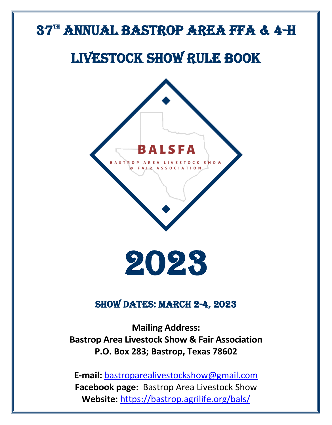# 37<sup>th</sup> ANNUAL BASTROP AREA FFA & 4-H

# LIVESTOCK SHOW RULE BOOK



2023

### **SHOW DATES: MARCH 2-4, 2023**

**Mailing Address: Bastrop Area Livestock Show & Fair Association P.O. Box 283; Bastrop, Texas 78602**

**E-mail:** [bastroparealivestockshow@gmail.com](mailto:bastroparealivestockshow@gmail.com)  **Facebook page:** Bastrop Area Livestock Show **Website:** <https://bastrop.agrilife.org/bals/>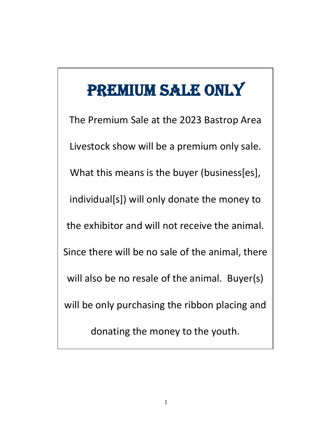# PREMIUM SALE ONLY

The Premium Sale at the 2023 Bastrop Area Livestock show will be a premium only sale. What this means is the buyer (business[es], individual[s]) will only donate the money to the exhibitor and will not receive the animal. Since there will be no sale of the animal, there will also be no resale of the animal. Buyer(s) will be only purchasing the ribbon placing and donating the money to the youth.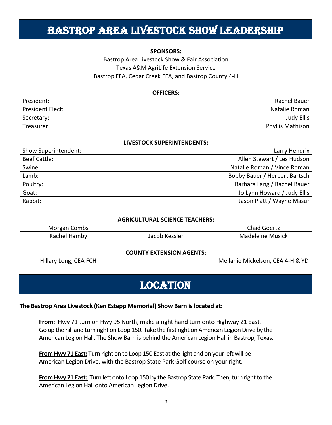## Bastrop Area Livestock Show Leadership

#### **SPONSORS:**

Bastrop Area Livestock Show & Fair Association

Texas A&M AgriLife Extension Service

### Bastrop FFA, Cedar Creek FFA, and Bastrop County 4-H

### **OFFICERS:**

| President:              | Rachel Bauer            |
|-------------------------|-------------------------|
| <b>President Elect:</b> | Natalie Roman           |
| Secretary:              | Judy Ellis              |
| Treasurer:              | <b>Phyllis Mathison</b> |

#### **LIVESTOCK SUPERINTENDENTS:**

| Show Superintendent: | Larry Hendrix                 |
|----------------------|-------------------------------|
| <b>Beef Cattle:</b>  | Allen Stewart / Les Hudson    |
| Swine:               | Natalie Roman / Vince Roman   |
| Lamb:                | Bobby Bauer / Herbert Bartsch |
| Poultry:             | Barbara Lang / Rachel Bauer   |
| Goat:                | Jo Lynn Howard / Judy Ellis   |
| Rabbit:              | Jason Platt / Wayne Masur     |

#### **AGRICULTURAL SCIENCE TEACHERS:**

| Morgan Combs |               | Chad Goertz      |
|--------------|---------------|------------------|
| Rachel Hamby | Jacob Kessler | Madeleine Musick |

#### **COUNTY EXTENSION AGENTS:**

Hillary Long, CEA FCH Mellanie Mickelson, CEA 4-H & YD

### **LOCATION**

#### **The Bastrop Area Livestock (Ken Estepp Memorial) Show Barn is located at:**

**From:** Hwy 71 turn on Hwy 95 North, make a right hand turn onto Highway 21 East. Go up the hill and turn right on Loop 150. Take the first right on American Legion Drive by the American Legion Hall. The Show Barn is behind the American Legion Hall in Bastrop, Texas.

**From Hwy 71 East:** Turn right on to Loop 150 East at the light and on your left will be American Legion Drive, with the Bastrop State Park Golf course on your right.

**From Hwy 21 East:** Turn left onto Loop 150 by the Bastrop State Park. Then, turn right to the American Legion Hall onto American Legion Drive.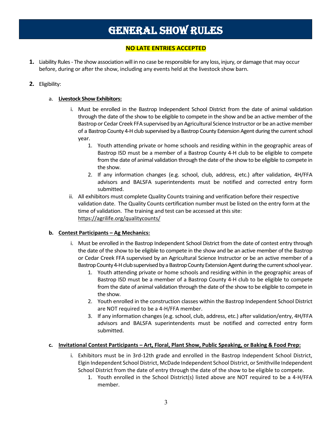# GENERAL SHOW RULES

### **NO LATE ENTRIES ACCEPTED**

- **1.** Liability Rules The show association will in no case be responsible for any loss, injury, or damage that may occur before, during or after the show, including any events held at the livestock show barn.
- **2.** Eligibility:

### a. **Livestock Show Exhibitors:**

- i. Must be enrolled in the Bastrop Independent School District from the date of animal validation through the date of the show to be eligible to compete in the show and be an active member of the Bastrop or Cedar Creek FFA supervised by an Agricultural Science Instructor or be an active member of a Bastrop County 4-H club supervised by a Bastrop County Extension Agent during the current school year.
	- 1. Youth attending private or home schools and residing within in the geographic areas of Bastrop ISD must be a member of a Bastrop County 4-H club to be eligible to compete from the date of animal validation through the date of the show to be eligible to compete in the show.
	- 2. If any information changes (e.g. school, club, address, etc.) after validation, 4H/FFA advisors and BALSFA superintendents must be notified and corrected entry form submitted.
- ii. All exhibitors must complete Quality Counts training and verification before their respective validation date. The Quality Counts certification number must be listed on the entry form at the time of validation. The training and test can be accessed at this site: <https://agrilife.org/qualitycounts/>

### **b. Contest Participants – Ag Mechanics:**

- i. Must be enrolled in the Bastrop Independent School District from the date of contest entry through the date of the show to be eligible to compete in the show and be an active member of the Bastrop or Cedar Creek FFA supervised by an Agricultural Science Instructor or be an active member of a Bastrop County 4-H club supervised by a Bastrop County Extension Agent during the current school year.
	- 1. Youth attending private or home schools and residing within in the geographic areas of Bastrop ISD must be a member of a Bastrop County 4-H club to be eligible to compete from the date of animal validation through the date of the show to be eligible to compete in the show.
	- 2. Youth enrolled in the construction classes within the Bastrop Independent School District are NOT required to be a 4-H/FFA member.
	- 3. If any information changes (e.g. school, club, address, etc.) after validation/entry, 4H/FFA advisors and BALSFA superintendents must be notified and corrected entry form submitted.

#### **c. Invitational Contest Participants – Art, Floral, Plant Show, Public Speaking, or Baking & Food Prep:**

- i. Exhibitors must be in 3rd-12th grade and enrolled in the Bastrop Independent School District, Elgin Independent School District, McDade Independent School District, or Smithville Independent School District from the date of entry through the date of the show to be eligible to compete.
	- 1. Youth enrolled in the School District(s) listed above are NOT required to be a 4-H/FFA member.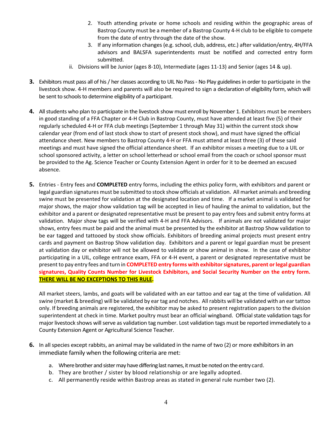- 2. Youth attending private or home schools and residing within the geographic areas of Bastrop County must be a member of a Bastrop County 4-H club to be eligible to compete from the date of entry through the date of the show.
- 3. If any information changes (e.g. school, club, address, etc.) after validation/entry, 4H/FFA advisors and BALSFA superintendents must be notified and corrected entry form submitted.
- ii. Divisions will be Junior (ages 8-10), Intermediate (ages 11-13) and Senior (ages 14 & up).
- **3.** Exhibitors must pass all of his / her classes according to UIL No Pass No Play guidelines in order to participate in the livestock show. 4-H members and parents will also be required to sign a declaration of eligibility form, which will be sent to schools to determine eligibility of a participant.
- **4.** All students who plan to participate in the livestock show must enroll by November 1. Exhibitors must be members in good standing of a FFA Chapter or 4-H Club in Bastrop County, must have attended at least five (5) of their regularly scheduled 4-H or FFA club meetings (September 1 through May 31) within the current stock show calendar year (from end of last stock show to start of present stock show), and must have signed the official attendance sheet. New members to Bastrop County 4-H or FFA must attend at least three (3) of these said meetings and must have signed the official attendance sheet. If an exhibitor misses a meeting due to a UIL or school sponsored activity, a letter on school letterhead or school email from the coach or school sponsor must be provided to the Ag. Science Teacher or County Extension Agent in order for it to be deemed an excused absence.
- **5.** Entries Entry fees and **COMPLETED** entry forms, including the ethics policy form, with exhibitors and parent or legal guardian signatures must be submitted to stock show officials at validation. All market animals and breeding swine must be presented for validation at the designated location and time. If a market animal is validated for major shows, the major show validation tag will be accepted in lieu of hauling the animal to validation, but the exhibitor and a parent or designated representative must be present to pay entry fees and submit entry forms at validation. Major show tags will be verified with 4-H and FFA Advisors. If animals are not validated for major shows, entry fees must be paid and the animal must be presented by the exhibitor at Bastrop Show validation to be ear tagged and tattooed by stock show officials. Exhibitors of breeding animal projects must present entry cards and payment on Bastrop Show validation day. Exhibitors and a parent or legal guardian must be present at validation day or exhibitor will not be allowed to validate or show animal in show. In the case of exhibitor participating in a UIL, college entrance exam, FFA or 4-H event, a parent or designated representative must be present to pay entry fees and turn in **COMPLETED entry forms with exhibitorsignatures, parent or legal guardian signatures, Quality Counts Number for Livestock Exhibitors, and Social Security Number on the entry form. THERE WILL BE NO EXCEPTIONS TO THIS RULE.**

All market steers, lambs, and goats will be validated with an ear tattoo and ear tag at the time of validation. All swine (market & breeding) will be validated by ear tag and notches. All rabbits will be validated with an ear tattoo only. If breeding animals are registered, the exhibitor may be asked to present registration papers to the division superintendent at check in time. Market poultry must bear an official wingband. Official state validation tags for major livestock shows will serve as validation tag number. Lost validation tags must be reported immediately to a County Extension Agent or Agricultural Science Teacher.

- **6.** In all species except rabbits, an animal may be validated in the name of two (2) or more exhibitors in an immediate family when the following criteria are met:
	- a. Where brother and sister may have differing last names, it must be noted on the entry card.
	- b. They are brother / sister by blood relationship or are legally adopted.
	- c. All permanently reside within Bastrop areas as stated in general rule number two (2).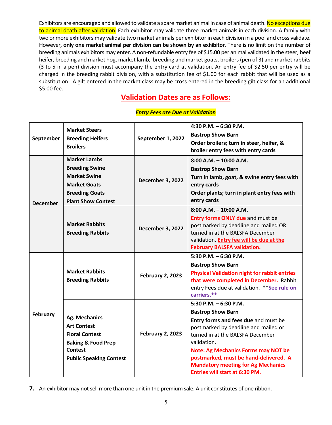Exhibitors are encouraged and allowed to validate a spare market animal in case of animal death. No exceptions due to animal death after validation. Each exhibitor may validate three market animals in each division. A family with two or more exhibitors may validate two market animals per exhibitor in each division in a pool and cross validate. However, **only one market animal per division can be shown by an exhibitor**. There is no limit on the number of breeding animals exhibitors may enter. A non-refundable entry fee of \$15.00 per animal validated in the steer, beef heifer, breeding and market hog, market lamb, breeding and market goats, broilers (pen of 3) and market rabbits (3 to 5 in a pen) division must accompany the entry card at validation. An entry fee of \$2.50 per entry will be charged in the breeding rabbit division, with a substitution fee of \$1.00 for each rabbit that will be used as a substitution. A gilt entered in the market class may be cross entered in the breeding gilt class for an additional \$5.00 fee.

### **Validation Dates are as Follows:**

### *Entry Fees are Due at Validation*

|                 | <b>Market Steers</b>                             |                         | 4:30 P.M. $-6:30$ P.M.                                                      |  |
|-----------------|--------------------------------------------------|-------------------------|-----------------------------------------------------------------------------|--|
| September       | September 1, 2022<br><b>Breeding Heifers</b>     |                         | <b>Bastrop Show Barn</b>                                                    |  |
|                 | <b>Broilers</b>                                  |                         | Order broilers; turn in steer, heifer, &                                    |  |
|                 |                                                  |                         | broiler entry fees with entry cards                                         |  |
|                 | <b>Market Lambs</b>                              |                         | $8:00$ A.M. $-10:00$ A.M.                                                   |  |
|                 | <b>Breeding Swine</b>                            |                         | <b>Bastrop Show Barn</b>                                                    |  |
|                 | <b>Market Swine</b>                              | <b>December 3, 2022</b> | Turn in lamb, goat, & swine entry fees with                                 |  |
|                 | <b>Market Goats</b>                              |                         | entry cards                                                                 |  |
|                 | <b>Breeding Goats</b>                            |                         | Order plants; turn in plant entry fees with                                 |  |
| <b>December</b> | <b>Plant Show Contest</b>                        |                         | entry cards                                                                 |  |
|                 |                                                  |                         | $8:00$ A.M. $-10:00$ A.M.                                                   |  |
|                 |                                                  |                         | <b>Entry forms ONLY due and must be</b>                                     |  |
|                 | <b>Market Rabbits</b><br><b>Breeding Rabbits</b> | <b>December 3, 2022</b> | postmarked by deadline and mailed OR                                        |  |
|                 |                                                  |                         | turned in at the BALSFA December                                            |  |
|                 |                                                  |                         | validation. Entry fee will be due at the                                    |  |
|                 |                                                  |                         | <b>February BALSFA validation.</b>                                          |  |
|                 |                                                  |                         |                                                                             |  |
|                 |                                                  |                         | $5:30$ P.M. $-6:30$ P.M.                                                    |  |
|                 |                                                  |                         | <b>Bastrop Show Barn</b>                                                    |  |
|                 | <b>Market Rabbits</b>                            |                         | <b>Physical Validation night for rabbit entries</b>                         |  |
|                 | <b>Breeding Rabbits</b>                          | <b>February 2, 2023</b> | that were completed in December. Rabbit                                     |  |
|                 |                                                  |                         | entry Fees due at validation. ** See rule on                                |  |
|                 |                                                  |                         | carriers.**                                                                 |  |
|                 |                                                  |                         | 5:30 P.M. $-6:30$ P.M.                                                      |  |
| February        |                                                  |                         | <b>Bastrop Show Barn</b>                                                    |  |
|                 | <b>Ag. Mechanics</b>                             |                         | Entry forms and fees due and must be                                        |  |
|                 | <b>Art Contest</b>                               |                         | postmarked by deadline and mailed or                                        |  |
|                 | <b>Floral Contest</b>                            | <b>February 2, 2023</b> | turned in at the BALSFA December                                            |  |
|                 | <b>Baking &amp; Food Prep</b>                    |                         | validation.                                                                 |  |
|                 | <b>Contest</b>                                   |                         | <b>Note: Ag Mechanics Forms may NOT be</b>                                  |  |
|                 | <b>Public Speaking Contest</b>                   |                         | postmarked, must be hand-delivered. A                                       |  |
|                 |                                                  |                         | <b>Mandatory meeting for Ag Mechanics</b><br>Entries will start at 6:30 PM. |  |

**7.** An exhibitor may not sell more than one unit in the premium sale. A unit constitutes of one ribbon.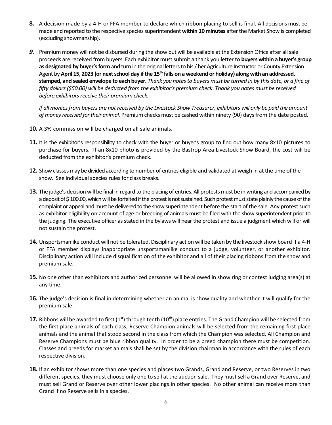- **8.** A decision made by a 4-H or FFA member to declare which ribbon placing to sell is final. All decisions must be made and reported to the respective species superintendent **within 10 minutes** after the Market Show is completed (excluding showmanship).
- *9.* Premium money will not be disbursed during the show but will be available at the Extension Office after all sale proceeds are received from buyers. Each exhibitor must submit a thank you letter to **buyers within a buyer's group as designated by buyer's form** and turn in the original letters to his / her Agriculture Instructor or County Extension Agent by**April 15, 2023 (or next school day if the 15th falls on a weekend or holiday) along with an addressed, stamped, and sealed envelope to each buyer.** *Thank you notes to buyers must be turned in by this date, or a fine of fifty dollars (\$50.00) will be deducted from the exhibitor's premium check*. *Thank you notes must be received before exhibitors receive their premium check.*

*If all monies from buyers are not received by the Livestock Show Treasurer, exhibitors will only be paid the amount of money received for their animal.* Premium checks must be cashed within ninety (90) days from the date posted.

- **10.** A 3% commission will be charged on all sale animals.
- **11.** It is the exhibitor's responsibility to check with the buyer or buyer's group to find out how many 8x10 pictures to purchase for buyers. If an 8x10 photo is provided by the Bastrop Area Livestock Show Board, the cost will be deducted from the exhibitor's premium check.
- **12.** Show classes may be divided according to number of entries eligible and validated at weigh in at the time of the show. See individual species rules for class breaks.
- **13.** The judge's decision will be final in regard to the placing of entries. All protests must be in writing and accompanied by a deposit of \$100.00, which will be forfeited if the protest is not sustained. Such protest must state plainly the cause of the complaint or appeal and must be delivered to the show superintendent before the start of the sale. Any protest such as exhibitor eligibility on account of age or breeding of animals must be filed with the show superintendent prior to the judging. The executive officer as stated in the bylaws will hear the protest and issue a judgment which will or will not sustain the protest.
- **14.** Unsportsmanlike conduct will not be tolerated. Disciplinary action will be taken by the livestock show board if a 4-H or FFA member displays inappropriate unsportsmanlike conduct to a judge, volunteer, or another exhibitor. Disciplinary action will include disqualification of the exhibitor and all of their placing ribbons from the show and premium sale.
- **15.** No one other than exhibitors and authorized personnel will be allowed in show ring or contest judging area(s) at any time.
- **16.** The judge's decision is final in determining whether an animal is show quality and whether it will qualify for the premium sale.
- **17.** Ribbons will be awarded to first  $(1<sup>st</sup>)$  through tenth  $(10<sup>th</sup>)$  place entries. The Grand Champion will be selected from the first place animals of each class; Reserve Champion animals will be selected from the remaining first place animals and the animal that stood second in the class from which the Champion was selected. All Champion and Reserve Champions must be blue ribbon quality. In order to be a breed champion there must be competition. Classes and breeds for market animals shall be set by the division chairman in accordance with the rules of each respective division.
- **18.** If an exhibitor shows more than one species and places two Grands, Grand and Reserve, or two Reserves in two different species, they must choose only one to sell at the auction sale. They must sell a Grand over Reserve, and must sell Grand or Reserve over other lower placings in other species. No other animal can receive more than Grand if no Reserve sells in a species.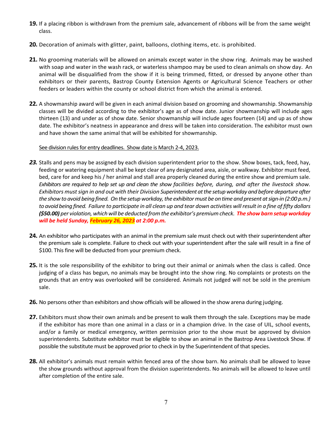- **19.** If a placing ribbon is withdrawn from the premium sale, advancement of ribbons will be from the same weight class.
- **20.** Decoration of animals with glitter, paint, balloons, clothing items, etc. is prohibited.
- **21.** No grooming materials will be allowed on animals except water in the show ring. Animals may be washed with soap and water in the wash rack, or waterless shampoo may be used to clean animals on show day. An animal will be disqualified from the show if it is being trimmed, fitted, or dressed by anyone other than exhibitors or their parents, Bastrop County Extension Agents or Agricultural Science Teachers or other feeders or leaders within the county or school district from which the animal is entered.
- **22.** A showmanship award will be given in each animal division based on grooming and showmanship. Showmanship classes will be divided according to the exhibitor's age as of show date. Junior showmanship will include ages thirteen (13) and under as of show date. Senior showmanship will include ages fourteen (14) and up as of show date. The exhibitor's neatness in appearance and dress will be taken into consideration. The exhibitor must own and have shown the same animal that will be exhibited for showmanship.

#### See division rules for entry deadlines. Show date is March 2-4, 2023.

- *23.* Stalls and pens may be assigned by each division superintendent prior to the show. Show boxes, tack, feed, hay, feeding or watering equipment shall be kept clear of any designated area, aisle, or walkway. Exhibitor must feed, bed, care for and keep his / her animal and stall area properly cleaned during the entire show and premium sale. *Exhibitors are required to help set up and clean the show facilities before, during, and after the livestock show. Exhibitors must sign in and out with their Division Superintendent at the setup workday and before departure after the show to avoid being fined. On the setup workday, the exhibitor must be on time and present at sign-in (2:00 p.m.) to avoid being fined. Failure to participate in all clean up and tear down activities will result in a fine of fifty dollars (\$50.00) per violation, which will be deducted from the exhibitor's premium check. The show barn setup workday will be held Sunday, February 26, 2023 at 2:00 p.m.*
- **24.** An exhibitor who participates with an animal in the premium sale must check out with their superintendent after the premium sale is complete. Failure to check out with your superintendent after the sale will result in a fine of \$100. This fine will be deducted from your premium check.
- **25.** It is the sole responsibility of the exhibitor to bring out their animal or animals when the class is called. Once judging of a class has begun, no animals may be brought into the show ring. No complaints or protests on the grounds that an entry was overlooked will be considered. Animals not judged will not be sold in the premium sale.
- **26.** No persons other than exhibitors and show officials will be allowed in the show arena during judging.
- **27.** Exhibitors must show their own animals and be present to walk them through the sale. Exceptions may be made if the exhibitor has more than one animal in a class or in a champion drive. In the case of UIL, school events, and/or a family or medical emergency, written permission prior to the show must be approved by division superintendents. Substitute exhibitor must be eligible to show an animal in the Bastrop Area Livestock Show. If possible the substitute must be approved prior to check in by the Superintendent of that species.
- **28.** All exhibitor's animals must remain within fenced area of the show barn. No animals shall be allowed to leave the show grounds without approval from the division superintendents. No animals will be allowed to leave until after completion of the entire sale.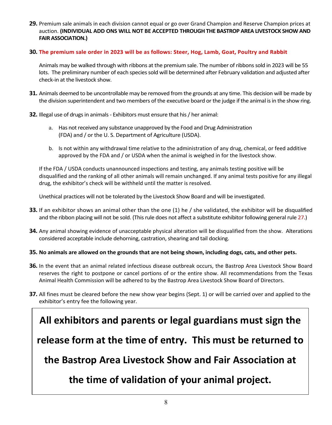**29.** Premium sale animals in each division cannot equal or go over Grand Champion and Reserve Champion prices at auction. **(INDIVIDUAL ADD ONS WILL NOT BE ACCEPTED THROUGH THE BASTROP AREA LIVESTOCK SHOW AND FAIR ASSOCIATION.)**

### **30. The premium sale order in 2023 will be as follows: Steer, Hog, Lamb, Goat, Poultry and Rabbit**

Animals may be walked through with ribbons at the premium sale. The number of ribbons sold in 2023 will be 55 lots. The preliminary number of each species sold will be determined after February validation and adjusted after check-in at the livestock show.

- **31.** Animals deemed to be uncontrollable may be removed from the grounds at any time. This decision will be made by the division superintendent and two members of the executive board or the judge if the animal is in the show ring.
- **32.** Illegal use of drugs in animals Exhibitors must ensure that his / her animal:
	- a. Has not received any substance unapproved by the Food and Drug Administration (FDA) and / or the U. S. Department of Agriculture (USDA).
	- b. Is not within any withdrawal time relative to the administration of any drug, chemical, or feed additive approved by the FDA and / or USDA when the animal is weighed in for the livestock show.

If the FDA / USDA conducts unannounced inspections and testing, any animals testing positive will be disqualified and the ranking of all other animals will remain unchanged. If any animal tests positive for any illegal drug, the exhibitor's check will be withheld until the matter is resolved.

Unethical practices will not be tolerated by the Livestock Show Board and will be investigated.

- **33.** If an exhibitor shows an animal other than the one (1) he / she validated, the exhibitor will be disqualified and the ribbon placing will not be sold. (This rule does not affect a substitute exhibitor following general rule 27.)
- **34.** Any animal showing evidence of unacceptable physical alteration will be disqualified from the show. Alterations considered acceptable include dehorning, castration, shearing and tail docking.
- **35. No animals are allowed on the grounds that are not being shown, including dogs, cats, and other pets.**
- **36.** In the event that an animal related infectious disease outbreak occurs, the Bastrop Area Livestock Show Board reserves the right to postpone or cancel portions of or the entire show. All recommendations from the Texas Animal Health Commission will be adhered to by the Bastrop Area Livestock Show Board of Directors.
- **37.** All fines must be cleared before the new show year begins (Sept. 1) or will be carried over and applied to the exhibitor's entry fee the following year.

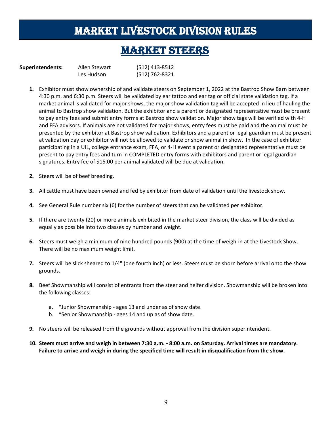## MARKET LIVESTOCK DIVISION RULES

### **MARKET STEERS**

| <b>Superintendents:</b> | Allen Stewart | (512) 413-8512 |
|-------------------------|---------------|----------------|
|                         | Les Hudson    | (512) 762-8321 |

- **1.** Exhibitor must show ownership of and validate steers on September 1, 2022 at the Bastrop Show Barn between 4:30 p.m. and 6:30 p.m. Steers will be validated by ear tattoo and ear tag or official state validation tag. If a market animal is validated for major shows, the major show validation tag will be accepted in lieu of hauling the animal to Bastrop show validation. But the exhibitor and a parent or designated representative must be present to pay entry fees and submit entry forms at Bastrop show validation. Major show tags will be verified with 4-H and FFA advisors. If animals are not validated for major shows, entry fees must be paid and the animal must be presented by the exhibitor at Bastrop show validation. Exhibitors and a parent or legal guardian must be present at validation day or exhibitor will not be allowed to validate or show animal in show. In the case of exhibitor participating in a UIL, college entrance exam, FFA, or 4-H event a parent or designated representative must be present to pay entry fees and turn in COMPLETED entry forms with exhibitors and parent or legal guardian signatures. Entry fee of \$15.00 per animal validated will be due at validation.
- **2.** Steers will be of beef breeding.
- **3.** All cattle must have been owned and fed by exhibitor from date of validation until the livestock show.
- **4.** See General Rule number six (6) for the number of steers that can be validated per exhibitor.
- **5.** If there are twenty (20) or more animals exhibited in the market steer division, the class will be divided as equally as possible into two classes by number and weight.
- **6.** Steers must weigh a minimum of nine hundred pounds (900) at the time of weigh-in at the Livestock Show. There will be no maximum weight limit.
- **7.** Steers will be slick sheared to 1/4" (one fourth inch) or less. Steers must be shorn before arrival onto the show grounds.
- **8.** Beef Showmanship will consist of entrants from the steer and heifer division. Showmanship will be broken into the following classes:
	- a. \*Junior Showmanship ages 13 and under as of show date.
	- b. \*Senior Showmanship ages 14 and up as of show date.
- **9.** No steers will be released from the grounds without approval from the division superintendent.
- **10. Steers must arrive and weigh in between 7:30 a.m. - 8:00 a.m. on Saturday. Arrival times are mandatory. Failure to arrive and weigh in during the specified time will result in disqualification from the show.**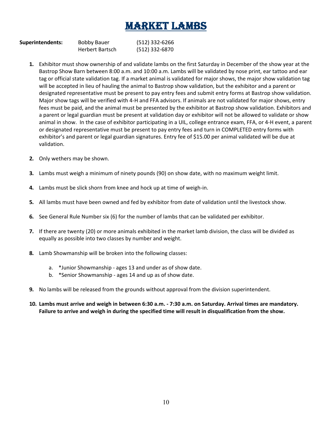## MARKET LAMBS

| <b>Superintendents:</b> | <b>Bobby Bauer</b>     | (512) 332-6266 |
|-------------------------|------------------------|----------------|
|                         | <b>Herbert Bartsch</b> | (512) 332-6870 |

- **1.** Exhibitor must show ownership of and validate lambs on the first Saturday in December of the show year at the Bastrop Show Barn between 8:00 a.m. and 10:00 a.m. Lambs will be validated by nose print, ear tattoo and ear tag or official state validation tag. If a market animal is validated for major shows, the major show validation tag will be accepted in lieu of hauling the animal to Bastrop show validation, but the exhibitor and a parent or designated representative must be present to pay entry fees and submit entry forms at Bastrop show validation. Major show tags will be verified with 4-H and FFA advisors. If animals are not validated for major shows, entry fees must be paid, and the animal must be presented by the exhibitor at Bastrop show validation. Exhibitors and a parent or legal guardian must be present at validation day or exhibitor will not be allowed to validate or show animal in show. In the case of exhibitor participating in a UIL, college entrance exam, FFA, or 4-H event, a parent or designated representative must be present to pay entry fees and turn in COMPLETED entry forms with exhibitor's and parent or legal guardian signatures. Entry fee of \$15.00 per animal validated will be due at validation.
- **2.** Only wethers may be shown.
- **3.** Lambs must weigh a minimum of ninety pounds (90) on show date, with no maximum weight limit.
- **4.** Lambs must be slick shorn from knee and hock up at time of weigh-in.
- **5.** All lambs must have been owned and fed by exhibitor from date of validation until the livestock show.
- **6.** See General Rule Number six (6) for the number of lambs that can be validated per exhibitor.
- **7.** If there are twenty (20) or more animals exhibited in the market lamb division, the class will be divided as equally as possible into two classes by number and weight.
- **8.** Lamb Showmanship will be broken into the following classes:
	- a. \*Junior Showmanship ages 13 and under as of show date.
	- b. \*Senior Showmanship ages 14 and up as of show date.
- **9.** No lambs will be released from the grounds without approval from the division superintendent.
- **10. Lambs must arrive and weigh in between 6:30 a.m. - 7:30 a.m. on Saturday. Arrival times are mandatory. Failure to arrive and weigh in during the specified time will result in disqualification from the show.**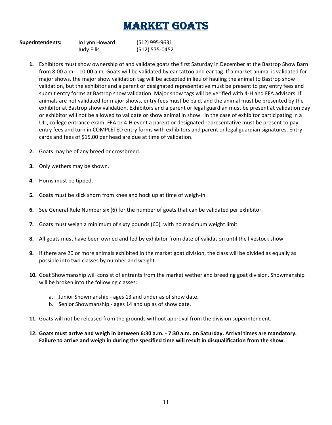# MARKET GOATS

| <b>Superintendents:</b> | Jo Lynn Howard    | (512) 995-9631 |
|-------------------------|-------------------|----------------|
|                         | <b>Judy Ellis</b> | (512) 575-0452 |

- **1.** Exhibitors must show ownership of and validate goats the first Saturday in December at the Bastrop Show Barn from 8:00 a.m. - 10:00 a.m. Goats will be validated by ear tattoo and ear tag. If a market animal is validated for major shows, the major show validation tag will be accepted in lieu of hauling the animal to Bastrop show validation, but the exhibitor and a parent or designated representative must be present to pay entry fees and submit entry forms at Bastrop show validation. Major show tags will be verified with 4-H and FFA advisors. If animals are not validated for major shows, entry fees must be paid, and the animal must be presented by the exhibitor at Bastrop show validation. Exhibitors and a parent or legal guardian must be present at validation day or exhibitor will not be allowed to validate or show animal in show. In the case of exhibitor participating in a UIL, college entrance exam, FFA or 4-H event a parent or designated representative must be present to pay entry fees and turn in COMPLETED entry forms with exhibitors and parent or legal guardian signatures. Entry cards and fees of \$15.00 per head are due at time of validation.
- **2.** Goats may be of any breed or crossbreed.
- **3.** Only wethers may be shown.
- **4.** Horns must be tipped.
- **5.** Goats must be slick shorn from knee and hock up at time of weigh-in.
- **6.** See General Rule Number six (6) for the number of goats that can be validated per exhibitor.
- **7.** Goats must weigh a minimum of sixty pounds (60), with no maximum weight limit.
- **8.** All goats must have been owned and fed by exhibitor from date of validation until the livestock show.
- **9.** If there are 20 or more animals exhibited in the market goat division, the class will be divided as equally as possible into two classes by number and weight.
- **10.** Goat Showmanship will consist of entrants from the market wether and breeding goat division. Showmanship will be broken into the following classes:
	- a. Junior Showmanship ages 13 and under as of show date.
	- b. Senior Showmanship ages 14 and up as of show date.
- **11.** Goats will not be released from the grounds without approval from the division superintendent.
- **12. Goats must arrive and weigh in between 6:30 a.m. - 7:30 a.m. on Saturday. Arrival times are mandatory. Failure to arrive and weigh in during the specified time will result in disqualification from the show.**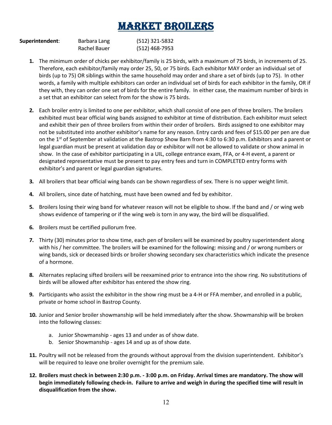# MARKET BROILERS

| Superintendent: | Barbara Lang | (512) 321-5832 |
|-----------------|--------------|----------------|
|                 | Rachel Bauer | (512) 468-7953 |

- **1.** The minimum order of chicks per exhibitor/family is 25 birds, with a maximum of 75 birds, in increments of 25. Therefore, each exhibitor/family may order 25, 50, or 75 birds. Each exhibitor MAY order an individual set of birds (up to 75) OR siblings within the same household may order and share a set of birds (up to 75). In other words, a family with multiple exhibitors can order an individual set of birds for each exhibitor in the family, OR if they with, they can order one set of birds for the entire family. In either case, the maximum number of birds in a set that an exhibitor can select from for the show is 75 birds.
- **2.** Each broiler entry is limited to one per exhibitor, which shall consist of one pen of three broilers. The broilers exhibited must bear official wing bands assigned to exhibitor at time of distribution. Each exhibitor must select and exhibit their pen of three broilers from within their order of broilers. Birds assigned to one exhibitor may not be substituted into another exhibitor's name for any reason. Entry cards and fees of \$15.00 per pen are due on the 1<sup>st</sup> of September at validation at the Bastrop Show Barn from 4:30 to 6:30 p.m. Exhibitors and a parent or legal guardian must be present at validation day or exhibitor will not be allowed to validate or show animal in show. In the case of exhibitor participating in a UIL, college entrance exam, FFA, or 4-H event, a parent or designated representative must be present to pay entry fees and turn in COMPLETED entry forms with exhibitor's and parent or legal guardian signatures.
- **3.** All broilers that bear official wing bands can be shown regardless of sex. There is no upper weight limit.
- **4.** All broilers, since date of hatching, must have been owned and fed by exhibitor.
- **5.** Broilers losing their wing band for whatever reason will not be eligible to show. If the band and / or wing web shows evidence of tampering or if the wing web is torn in any way, the bird will be disqualified.
- **6.** Broilers must be certified pullorum free.
- **7.** Thirty (30) minutes prior to show time, each pen of broilers will be examined by poultry superintendent along with his / her committee. The broilers will be examined for the following: missing and / or wrong numbers or wing bands, sick or deceased birds or broiler showing secondary sex characteristics which indicate the presence of a hormone.
- **8.** Alternates replacing sifted broilers will be reexamined prior to entrance into the show ring. No substitutions of birds will be allowed after exhibitor has entered the show ring.
- **9.** Participants who assist the exhibitor in the show ring must be a 4-H or FFA member, and enrolled in a public, private or home school in Bastrop County.
- **10.** Junior and Senior broiler showmanship will be held immediately after the show. Showmanship will be broken into the following classes:
	- a. Junior Showmanship ages 13 and under as of show date.
	- b. Senior Showmanship ages 14 and up as of show date.
- **11.** Poultry will not be released from the grounds without approval from the division superintendent. Exhibitor's will be required to leave one broiler overnight for the premium sale.
- **12. Broilers must check in between 2:30 p.m. - 3:00 p.m. on Friday. Arrival times are mandatory. The show will begin immediately following check-in. Failure to arrive and weigh in during the specified time will result in disqualification from the show.**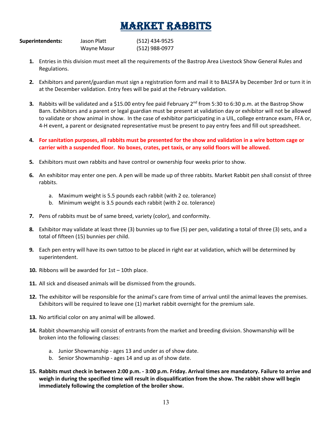### MARKET RABBITS

| <b>Superintendents:</b> | Jason Platt | (512) 434-9525 |
|-------------------------|-------------|----------------|
|                         | Wayne Masur | (512) 988-0977 |

- **1.** Entries in this division must meet all the requirements of the Bastrop Area Livestock Show General Rules and Regulations.
- **2.** Exhibitors and parent/guardian must sign a registration form and mail it to BALSFA by December 3rd or turn it in at the December validation. Entry fees will be paid at the February validation.
- **3.** Rabbits will be validated and a \$15.00 entry fee paid February 2nd from 5:30 to 6:30 p.m. at the Bastrop Show Barn. Exhibitors and a parent or legal guardian must be present at validation day or exhibitor will not be allowed to validate or show animal in show. In the case of exhibitor participating in a UIL, college entrance exam, FFA or, 4-H event, a parent or designated representative must be present to pay entry fees and fill out spreadsheet.
- **4. For sanitation purposes, all rabbits must be presented for the show and validation in a wire bottom cage or carrier with a suspended floor. No boxes, crates, pet taxis, or any solid floors will be allowed.**
- **5.** Exhibitors must own rabbits and have control or ownership four weeks prior to show.
- **6.** An exhibitor may enter one pen. A pen will be made up of three rabbits. Market Rabbit pen shall consist of three rabbits.
	- a. Maximum weight is 5.5 pounds each rabbit (with 2 oz. tolerance)
	- b. Minimum weight is 3.5 pounds each rabbit (with 2 oz. tolerance)
- **7.** Pens of rabbits must be of same breed, variety (color), and conformity.
- **8.** Exhibitor may validate at least three (3) bunnies up to five (5) per pen, validating a total of three (3) sets, and a total of fifteen (15) bunnies per child.
- **9.** Each pen entry will have its own tattoo to be placed in right ear at validation, which will be determined by superintendent.
- **10.** Ribbons will be awarded for 1st 10th place.
- **11.** All sick and diseased animals will be dismissed from the grounds.
- **12.** The exhibitor will be responsible for the animal's care from time of arrival until the animal leaves the premises. Exhibitors will be required to leave one (1) market rabbit overnight for the premium sale.
- **13.** No artificial color on any animal will be allowed.
- **14.** Rabbit showmanship will consist of entrants from the market and breeding division. Showmanship will be broken into the following classes:
	- a. Junior Showmanship ages 13 and under as of show date.
	- b. Senior Showmanship ages 14 and up as of show date.
- **15. Rabbits must check in between 2:00 p.m. - 3:00 p.m. Friday. Arrival times are mandatory. Failure to arrive and weigh in during the specified time will result in disqualification from the show. The rabbit show will begin immediately following the completion of the broiler show.**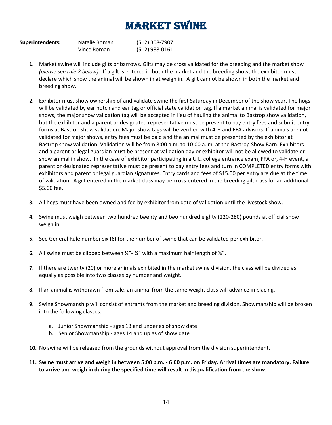# MARKET SWINE

| <b>Superintendents:</b> | Natalie Roman | (512) 308-7907 |
|-------------------------|---------------|----------------|
|                         | Vince Roman   | (512) 988-0161 |

- **1.** Market swine will include gilts or barrows. Gilts may be cross validated for the breeding and the market show *(please see rule 2 below)*. If a gilt is entered in both the market and the breeding show, the exhibitor must declare which show the animal will be shown in at weigh in. A gilt cannot be shown in both the market and breeding show.
- **2.** Exhibitor must show ownership of and validate swine the first Saturday in December of the show year. The hogs will be validated by ear notch and ear tag or official state validation tag. If a market animal is validated for major shows, the major show validation tag will be accepted in lieu of hauling the animal to Bastrop show validation, but the exhibitor and a parent or designated representative must be present to pay entry fees and submit entry forms at Bastrop show validation. Major show tags will be verified with 4-H and FFA advisors. If animals are not validated for major shows, entry fees must be paid and the animal must be presented by the exhibitor at Bastrop show validation. Validation will be from 8:00 a.m. to 10:00 a. m. at the Bastrop Show Barn. Exhibitors and a parent or legal guardian must be present at validation day or exhibitor will not be allowed to validate or show animal in show. In the case of exhibitor participating in a UIL, college entrance exam, FFA or, 4-H event, a parent or designated representative must be present to pay entry fees and turn in COMPLETED entry forms with exhibitors and parent or legal guardian signatures. Entry cards and fees of \$15.00 per entry are due at the time of validation. A gilt entered in the market class may be cross-entered in the breeding gilt class for an additional \$5.00 fee.
- **3.** All hogs must have been owned and fed by exhibitor from date of validation until the livestock show.
- **4.** Swine must weigh between two hundred twenty and two hundred eighty (220-280) pounds at official show weigh in.
- **5.** See General Rule number six (6) for the number of swine that can be validated per exhibitor.
- **6.** All swine must be clipped between ½"- ¾" with a maximum hair length of ¾".
- **7.** If there are twenty (20) or more animals exhibited in the market swine division, the class will be divided as equally as possible into two classes by number and weight.
- **8.** If an animal is withdrawn from sale, an animal from the same weight class will advance in placing.
- **9.** Swine Showmanship will consist of entrants from the market and breeding division. Showmanship will be broken into the following classes:
	- a. Junior Showmanship ages 13 and under as of show date
	- b. Senior Showmanship ages 14 and up as of show date
- **10.** No swine will be released from the grounds without approval from the division superintendent.
- **11. Swine must arrive and weigh in between 5:00 p.m. - 6:00 p.m. on Friday. Arrival times are mandatory. Failure to arrive and weigh in during the specified time will result in disqualification from the show.**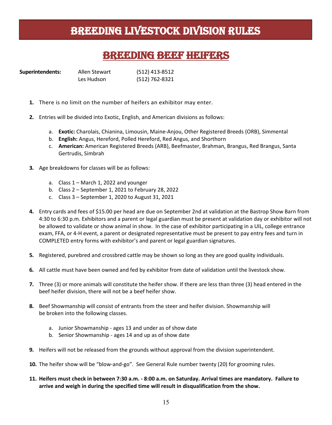### BREEDING LIVESTOCK DIVISION RULES

### BREEDING BEEF HEIFERS

| <b>Superintendents:</b> | Allen Stewart | (512) 413-8512 |
|-------------------------|---------------|----------------|
|                         | Les Hudson    | (512) 762-8321 |

- **1.** There is no limit on the number of heifers an exhibitor may enter.
- **2.** Entries will be divided into Exotic, English, and American divisions as follows:
	- a. **Exotic:** Charolais, Chianina, Limousin, Maine-Anjou, Other Registered Breeds (ORB), Simmental
	- b. **English:** Angus, Hereford, Polled Hereford, Red Angus, and Shorthorn
	- c. **American:** American Registered Breeds (ARB), Beefmaster, Brahman, Brangus, Red Brangus, Santa Gertrudis, Simbrah
- **3.** Age breakdowns for classes will be as follows:
	- a. Class 1 March 1, 2022 and younger
	- b. Class 2 September 1, 2021 to February 28, 2022
	- c. Class 3 September 1, 2020 to August 31, 2021
- **4.** Entry cards and fees of \$15.00 per head are due on September 2nd at validation at the Bastrop Show Barn from 4:30 to 6:30 p.m. Exhibitors and a parent or legal guardian must be present at validation day or exhibitor will not be allowed to validate or show animal in show. In the case of exhibitor participating in a UIL, college entrance exam, FFA, or 4-H event, a parent or designated representative must be present to pay entry fees and turn in COMPLETED entry forms with exhibitor's and parent or legal guardian signatures.
- **5.** Registered, purebred and crossbred cattle may be shown so long as they are good quality individuals.
- **6.** All cattle must have been owned and fed by exhibitor from date of validation until the livestock show.
- **7.** Three (3) or more animals will constitute the heifer show. If there are less than three (3) head entered in the beef heifer division, there will not be a beef heifer show.
- **8.** Beef Showmanship will consist of entrants from the steer and heifer division. Showmanship will be broken into the following classes.
	- a. Junior Showmanship ages 13 and under as of show date
	- b. Senior Showmanship ages 14 and up as of show date
- **9.** Heifers will not be released from the grounds without approval from the division superintendent.
- **10.** The heifer show will be "blow-and-go". See General Rule number twenty (20) for grooming rules.
- **11. Heifers must check in between 7:30 a.m. - 8:00 a.m. on Saturday. Arrival times are mandatory. Failure to arrive and weigh in during the specified time will result in disqualification from the show.**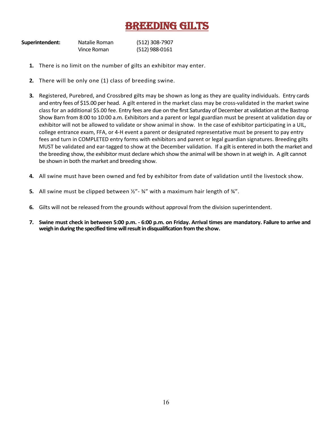### **BREEDING GILTS**

| Superintendent: | Natalie Roman | (512) 308-7907 |
|-----------------|---------------|----------------|
|                 | Vince Roman   | (512) 988-0161 |

- **1.** There is no limit on the number of gilts an exhibitor may enter.
- **2.** There will be only one (1) class of breeding swine.
- **3.** Registered, Purebred, and Crossbred gilts may be shown as long as they are quality individuals. Entry cards and entry fees of \$15.00 per head. A gilt entered in the market class may be cross-validated in the market swine class for an additional \$5.00 fee. Entry fees are due on the first Saturday of December at validation at the Bastrop Show Barn from 8:00 to 10:00 a.m. Exhibitors and a parent or legal guardian must be present at validation day or exhibitor will not be allowed to validate or show animal in show. In the case of exhibitor participating in a UIL, college entrance exam, FFA, or 4-H event a parent or designated representative must be present to pay entry fees and turn in COMPLETED entry forms with exhibitors and parent or legal guardian signatures. Breeding gilts MUST be validated and ear-tagged to show at the December validation. If a gilt is entered in both the market and the breeding show, the exhibitor must declare which show the animal will be shown in at weigh in. A gilt cannot be shown in both the market and breeding show.
- **4.** All swine must have been owned and fed by exhibitor from date of validation until the livestock show.
- **5.** All swine must be clipped between ½"- ¾" with a maximum hair length of ¾".
- **6.** Gilts will not be released from the grounds without approval from the division superintendent.
- **7. Swine must check in between 5:00 p.m. - 6:00 p.m. on Friday. Arrival times are mandatory. Failure to arrive and weigh in during the specified time will result in disqualification from the show.**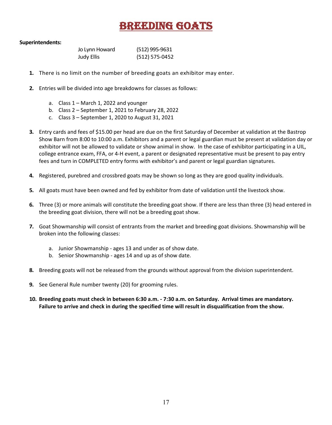### BREEDING GOATS

### **Superintendents:**

| Jo Lynn Howard    | (512) 995-9631 |
|-------------------|----------------|
| <b>Judy Ellis</b> | (512) 575-0452 |

- **1.** There is no limit on the number of breeding goats an exhibitor may enter.
- **2.** Entries will be divided into age breakdowns for classes as follows:
	- a. Class 1 March 1, 2022 and younger
	- b. Class 2 September 1, 2021 to February 28, 2022
	- c. Class 3 September 1, 2020 to August 31, 2021
- **3.** Entry cards and fees of \$15.00 per head are due on the first Saturday of December at validation at the Bastrop Show Barn from 8:00 to 10:00 a.m. Exhibitors and a parent or legal guardian must be present at validation day or exhibitor will not be allowed to validate or show animal in show. In the case of exhibitor participating in a UIL, college entrance exam, FFA, or 4-H event, a parent or designated representative must be present to pay entry fees and turn in COMPLETED entry forms with exhibitor's and parent or legal guardian signatures.
- **4.** Registered, purebred and crossbred goats may be shown so long as they are good quality individuals.
- **5.** All goats must have been owned and fed by exhibitor from date of validation until the livestock show.
- **6.** Three (3) or more animals will constitute the breeding goat show. If there are less than three (3) head entered in the breeding goat division, there will not be a breeding goat show.
- **7.** Goat Showmanship will consist of entrants from the market and breeding goat divisions. Showmanship will be broken into the following classes:
	- a. Junior Showmanship ages 13 and under as of show date.
	- b. Senior Showmanship ages 14 and up as of show date.
- **8.** Breeding goats will not be released from the grounds without approval from the division superintendent.
- **9.** See General Rule number twenty (20) for grooming rules.
- **10. Breeding goats must check in between 6:30 a.m. - 7:30 a.m. on Saturday. Arrival times are mandatory. Failure to arrive and check in during the specified time will result in disqualification from the show.**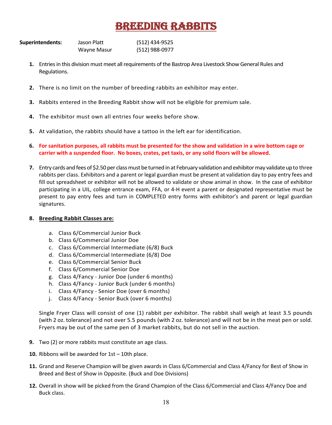### BREEDING RABBITS

| Superintendents: | Jason Platt | (512) 434-9525 |
|------------------|-------------|----------------|
|                  | Wayne Masur | (512) 988-0977 |

- **1.** Entries in this division must meet all requirements of the Bastrop Area Livestock Show General Rules and Regulations.
- **2.** There is no limit on the number of breeding rabbits an exhibitor may enter.
- **3.** Rabbits entered in the Breeding Rabbit show will not be eligible for premium sale.
- **4.** The exhibitor must own all entries four weeks before show.
- **5.** At validation, the rabbits should have a tattoo in the left ear for identification.
- **6. For sanitation purposes, all rabbits must be presented for the show and validation in a wire bottom cage or carrier with a suspended floor. No boxes, crates, pet taxis, or any solid floors will be allowed.**
- **7.** Entry cards and fees of \$2.50 per class must be turned in at February validation and exhibitor may validate up to three rabbits per class. Exhibitors and a parent or legal guardian must be present at validation day to pay entry fees and fill out spreadsheet or exhibitor will not be allowed to validate or show animal in show. In the case of exhibitor participating in a UIL, college entrance exam, FFA, or 4-H event a parent or designated representative must be present to pay entry fees and turn in COMPLETED entry forms with exhibitor's and parent or legal guardian signatures.

#### **8. Breeding Rabbit Classes are:**

- a. Class 6/Commercial Junior Buck
- b. Class 6/Commercial Junior Doe
- c. Class 6/Commercial Intermediate (6/8) Buck
- d. Class 6/Commercial Intermediate (6/8) Doe
- e. Class 6/Commercial Senior Buck
- f. Class 6/Commercial Senior Doe
- g. Class 4/Fancy Junior Doe (under 6 months)
- h. Class 4/Fancy Junior Buck (under 6 months)
- i. Class 4/Fancy Senior Doe (over 6 months)
- j. Class 4/Fancy Senior Buck (over 6 months)

Single Fryer Class will consist of one (1) rabbit per exhibitor. The rabbit shall weigh at least 3.5 pounds (with 2 oz. tolerance) and not over 5.5 pounds (with 2 oz. tolerance) and will not be in the meat pen or sold. Fryers may be out of the same pen of 3 market rabbits, but do not sell in the auction.

- **9.** Two (2) or more rabbits must constitute an age class.
- **10.** Ribbons will be awarded for 1st 10th place.
- **11.** Grand and Reserve Champion will be given awards in Class 6/Commercial and Class 4/Fancy for Best of Show in Breed and Best of Show in Opposite. (Buck and Doe Divisions)
- **12.** Overall in show will be picked from the Grand Champion of the Class 6/Commercial and Class 4/Fancy Doe and Buck class.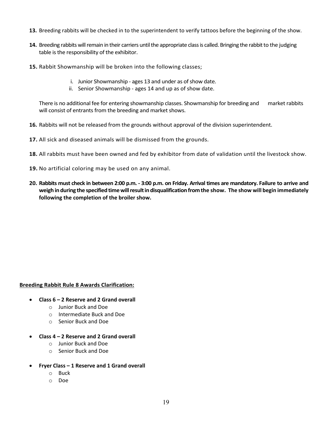- **13.** Breeding rabbits will be checked in to the superintendent to verify tattoos before the beginning of the show.
- **14.** Breeding rabbits will remain in their carriers until the appropriate class is called. Bringing the rabbit to the judging table is the responsibility of the exhibitor.
- **15.** Rabbit Showmanship will be broken into the following classes;
	- i. Junior Showmanship ages 13 and under as of show date.
	- ii. Senior Showmanship ages 14 and up as of show date.

There is no additional fee for entering showmanship classes. Showmanship for breeding and market rabbits will consist of entrants from the breeding and market shows.

- **16.** Rabbits will not be released from the grounds without approval of the division superintendent.
- **17.** All sick and diseased animals will be dismissed from the grounds.
- **18.** All rabbits must have been owned and fed by exhibitor from date of validation until the livestock show.
- **19.** No artificial coloring may be used on any animal.
- **20. Rabbits must check in between 2:00 p.m. - 3:00 p.m. on Friday. Arrival times are mandatory. Failure to arrive and weigh induring the specified time will result in disqualification from the show. The show will begin immediately following the completion of the broiler show.**

#### **Breeding Rabbit Rule 8 Awards Clarification:**

- **Class 6 – 2 Reserve and 2 Grand overall**
	- o Junior Buck and Doe
	- o Intermediate Buck and Doe
	- o Senior Buck and Doe
- **Class 4 – 2 Reserve and 2 Grand overall**
	- o Junior Buck and Doe
	- o Senior Buck and Doe
- **Fryer Class – 1 Reserve and 1 Grand overall**
	- o Buck
	- o Doe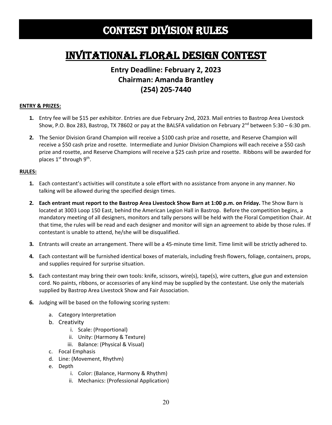## Contest DIVISION RULES

## Invitational Floral Design CoNTEST

### **Entry Deadline: February 2, 2023 Chairman: Amanda Brantley (254) 205-7440**

#### **ENTRY & PRIZES:**

- **1.** Entry fee will be \$15 per exhibitor. Entries are due February 2nd, 2023. Mail entries to Bastrop Area Livestock Show, P.O. Box 283, Bastrop, TX 78602 or pay at the BALSFA validation on February  $2^{nd}$  between 5:30 – 6:30 pm.
- **2.** The Senior Division Grand Champion will receive a \$100 cash prize and rosette, and Reserve Champion will receive a \$50 cash prize and rosette. Intermediate and Junior Division Champions will each receive a \$50 cash prize and rosette, and Reserve Champions will receive a \$25 cash prize and rosette. Ribbons will be awarded for places  $1^{st}$  through  $9^{th}$ .

- **1.** Each contestant's activities will constitute a sole effort with no assistance from anyone in any manner. No talking will be allowed during the specified design times.
- **2. Each entrant must report to the Bastrop Area Livestock Show Barn at 1:00 p.m. on Friday.** The Show Barn is located at 3003 Loop 150 East, behind the American Legion Hall in Bastrop. Before the competition begins, a mandatory meeting of all designers, monitors and tally persons will be held with the Floral Competition Chair. At that time, the rules will be read and each designer and monitor will sign an agreement to abide by those rules. If contestant is unable to attend, he/she will be disqualified.
- **3.** Entrants will create an arrangement. There will be a 45-minute time limit. Time limit will be strictly adhered to.
- **4.** Each contestant will be furnished identical boxes of materials, including fresh flowers, foliage, containers, props, and supplies required for surprise situation.
- **5.** Each contestant may bring their own tools: knife, scissors, wire(s), tape(s), wire cutters, glue gun and extension cord. No paints, ribbons, or accessories of any kind may be supplied by the contestant. Use only the materials supplied by Bastrop Area Livestock Show and Fair Association.
- **6.** Judging will be based on the following scoring system:
	- a. Category Interpretation
	- b. Creativity
		- i. Scale: (Proportional)
		- ii. Unity: (Harmony & Texture)
		- iii. Balance: (Physical & Visual)
	- c. Focal Emphasis
	- d. Line: (Movement, Rhythm)
	- e. Depth
		- i. Color: (Balance, Harmony & Rhythm)
		- ii. Mechanics: (Professional Application)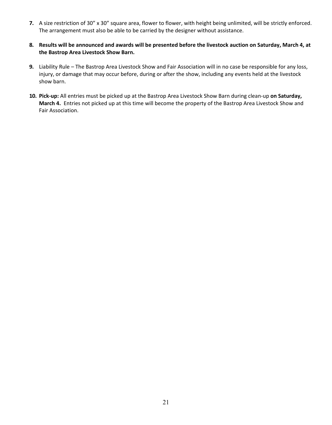- **7.** A size restriction of 30" x 30" square area, flower to flower, with height being unlimited, will be strictly enforced. The arrangement must also be able to be carried by the designer without assistance.
- **8. Results will be announced and awards will be presented before the livestock auction on Saturday, March 4, at the Bastrop Area Livestock Show Barn.**
- **9.** Liability Rule The Bastrop Area Livestock Show and Fair Association will in no case be responsible for any loss, injury, or damage that may occur before, during or after the show, including any events held at the livestock show barn.
- **10. Pick-up:** All entries must be picked up at the Bastrop Area Livestock Show Barn during clean-up **on Saturday, March 4.** Entries not picked up at this time will become the property of the Bastrop Area Livestock Show and Fair Association.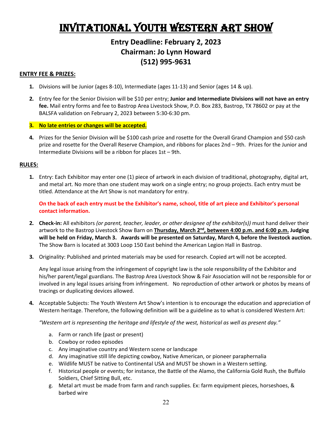# Invitational YOUTH WESTERN ART SHOW

### **Entry Deadline: February 2, 2023 Chairman: Jo Lynn Howard (512) 995-9631**

#### **ENTRY FEE & PRIZES:**

- **1.** Divisions will be Junior (ages 8-10), Intermediate (ages 11-13) and Senior (ages 14 & up).
- **2.** Entry fee for the Senior Division will be \$10 per entry; **Junior and Intermediate Divisions will not have an entry fee.** Mail entry forms and fee to Bastrop Area Livestock Show, P.O. Box 283, Bastrop, TX 78602 or pay at the BALSFA validation on February 2, 2023 between 5:30-6:30 pm.
- **3. No late entries or changes will be accepted.**
- **4.** Prizes for the Senior Division will be \$100 cash prize and rosette for the Overall Grand Champion and \$50 cash prize and rosette for the Overall Reserve Champion, and ribbons for places 2nd – 9th. Prizes for the Junior and Intermediate Divisions will be a ribbon for places 1st – 9th.

### **RULES:**

**1.** Entry: Each Exhibitor may enter one (1) piece of artwork in each division of traditional, photography, digital art, and metal art. No more than one student may work on a single entry; no group projects. Each entry must be titled. Attendance at the Art Show is not mandatory for entry.

**On the back of each entry must be the Exhibitor's name, school, title of art piece and Exhibitor's personal contact information.** 

- **2. Check-in:** All exhibitors *(or parent, teacher, leader, or other designee of the exhibitor(s))* must hand deliver their artwork to the Bastrop Livestock Show Barn on **Thursday, March 2<sup>nd</sup>, between 4:00 p.m. and 6:00 p.m. Judging will be held on Friday, March 3. Awards will be presented on Saturday, March 4, before the livestock auction.** The Show Barn is located at 3003 Loop 150 East behind the American Legion Hall in Bastrop.
- **3.** Originality: Published and printed materials may be used for research. Copied art will not be accepted.

Any legal issue arising from the infringement of copyright law is the sole responsibility of the Exhibitor and his/her parent/legal guardians. The Bastrop Area Livestock Show & Fair Association will not be responsible for or involved in any legal issues arising from infringement. No reproduction of other artwork or photos by means of tracings or duplicating devices allowed.

**4.** Acceptable Subjects: The Youth Western Art Show's intention is to encourage the education and appreciation of Western heritage. Therefore, the following definition will be a guideline as to what is considered Western Art:

*"Western art is representing the heritage and lifestyle of the west, historical as well as present day."* 

- a. Farm or ranch life (past or present)
- b. Cowboy or rodeo episodes
- c. Any imaginative country and Western scene or landscape
- d. Any imaginative still life depicting cowboy, Native American, or pioneer paraphernalia
- e. Wildlife MUST be native to Continental USA and MUST be shown in a Western setting.
- f. Historical people or events; for instance, the Battle of the Alamo, the California Gold Rush, the Buffalo Soldiers, Chief Sitting Bull, etc.
- g. Metal art must be made from farm and ranch supplies. Ex: farm equipment pieces, horseshoes, & barbed wire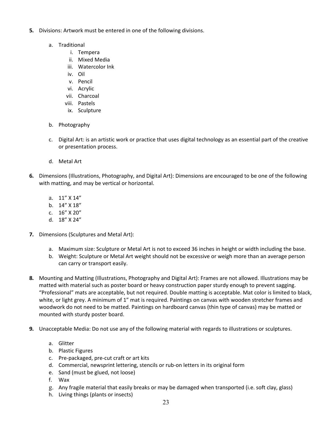- **5.** Divisions: Artwork must be entered in one of the following divisions.
	- a. Traditional
		- i. Tempera
		- ii. Mixed Media
		- iii. Watercolor Ink
		- iv. Oil
		- v. Pencil
		- vi. Acrylic
		- vii. Charcoal
		- viii. Pastels
		- ix. Sculpture
	- b. Photography
	- c. Digital Art: is an artistic work or practice that uses digital technology as an essential part of the creative or presentation process.
	- d. Metal Art
- **6.** Dimensions (Illustrations, Photography, and Digital Art): Dimensions are encouraged to be one of the following with matting, and may be vertical or horizontal.
	- a. 11" X 14"
	- b. 14" X 18"
	- c. 16" X 20"
	- d. 18" X 24"
- **7.** Dimensions (Sculptures and Metal Art):
	- a. Maximum size: Sculpture or Metal Art is not to exceed 36 inches in height or width including the base.
	- b. Weight: Sculpture or Metal Art weight should not be excessive or weigh more than an average person can carry or transport easily.
- **8.** Mounting and Matting (Illustrations, Photography and Digital Art): Frames are not allowed. Illustrations may be matted with material such as poster board or heavy construction paper sturdy enough to prevent sagging. "Professional" mats are acceptable, but not required. Double matting is acceptable. Mat color is limited to black, white, or light grey. A minimum of 1" mat is required. Paintings on canvas with wooden stretcher frames and woodwork do not need to be matted. Paintings on hardboard canvas (thin type of canvas) may be matted or mounted with sturdy poster board.
- **9.** Unacceptable Media: Do not use any of the following material with regards to illustrations or sculptures.
	- a. Glitter
	- b. Plastic Figures
	- c. Pre-packaged, pre-cut craft or art kits
	- d. Commercial, newsprint lettering, stencils or rub-on letters in its original form
	- e. Sand (must be glued, not loose)
	- f. Wax
	- g. Any fragile material that easily breaks or may be damaged when transported (i.e. soft clay, glass)
	- h. Living things (plants or insects)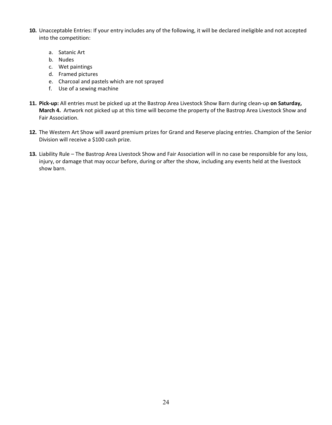- **10.** Unacceptable Entries: If your entry includes any of the following, it will be declared ineligible and not accepted into the competition:
	- a. Satanic Art
	- b. Nudes
	- c. Wet paintings
	- d. Framed pictures
	- e. Charcoal and pastels which are not sprayed
	- f. Use of a sewing machine
- **11. Pick-up:** All entries must be picked up at the Bastrop Area Livestock Show Barn during clean-up **on Saturday, March 4.** Artwork not picked up at this time will become the property of the Bastrop Area Livestock Show and Fair Association.
- **12.** The Western Art Show will award premium prizes for Grand and Reserve placing entries. Champion of the Senior Division will receive a \$100 cash prize.
- **13.** Liability Rule The Bastrop Area Livestock Show and Fair Association will in no case be responsible for any loss, injury, or damage that may occur before, during or after the show, including any events held at the livestock show barn.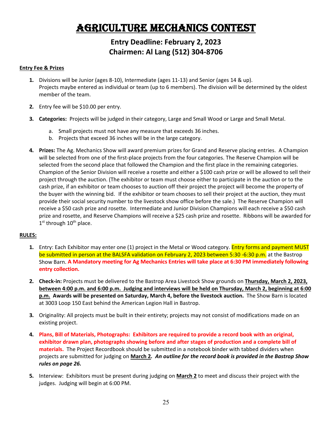# Agriculture Mechanics Contest

### **Entry Deadline: February 2, 2023 Chairmen: Al Lang (512) 304-8706**

#### **Entry Fee & Prizes**

- **1.** Divisions will be Junior (ages 8-10), Intermediate (ages 11-13) and Senior (ages 14 & up). Projects maybe entered as individual or team (up to 6 members). The division will be determined by the oldest member of the team.
- **2.** Entry fee will be \$10.00 per entry.
- **3. Categories:** Projects will be judged in their category, Large and Small Wood or Large and Small Metal.
	- a. Small projects must not have any measure that exceeds 36 inches.
	- b. Projects that exceed 36 inches will be in the large category.
- **4. Prizes:** The Ag. Mechanics Show will award premium prizes for Grand and Reserve placing entries. A Champion will be selected from one of the first-place projects from the four categories. The Reserve Champion will be selected from the second place that followed the Champion and the first place in the remaining categories. Champion of the Senior Division will receive a rosette and either a \$100 cash prize or will be allowed to sell their project through the auction. (The exhibitor or team must choose either to participate in the auction or to the cash prize, if an exhibitor or team chooses to auction off their project the project will become the property of the buyer with the winning bid. If the exhibitor or team chooses to sell their project at the auction, they must provide their social security number to the livestock show office before the sale.) The Reserve Champion will receive a \$50 cash prize and rosette. Intermediate and Junior Division Champions will each receive a \$50 cash prize and rosette, and Reserve Champions will receive a \$25 cash prize and rosette. Ribbons will be awarded for  $1<sup>st</sup>$  through  $10<sup>th</sup>$  place.

- **1.** Entry: Each Exhibitor may enter one (1) project in the Metal or Wood category. Entry forms and payment MUST be submitted in person at the BALSFA validation on February 2, 2023 between 5:30 -6:30 p.m. at the Bastrop Show Barn. **A Mandatory meeting for Ag Mechanics Entries will take place at 6:30 PM immediately following entry collection.**
- **2. Check-in:** Projects must be delivered to the Bastrop Area Livestock Show grounds on **Thursday, March 2, 2023, between 4:00 p.m. and 6:00 p.m. Judging and interviews will be held on Thursday, March 2, beginning at 6:00 p.m. Awards will be presented on Saturday, March 4, before the livestock auction.** The Show Barn is located at 3003 Loop 150 East behind the American Legion Hall in Bastrop.
- **3.** Originality: All projects must be built in their entirety; projects may not consist of modifications made on an existing project.
- **4. Plans, Bill of Materials, Photographs: Exhibitors are required to provide a record book with an original, exhibitor drawn plan, photographs showing before and after stages of production and a complete bill of materials.** The Project Recordbook should be submitted in a notebook binder with tabbed dividers when projects are submitted for judging on **March 2***. An outline for the record book is provided in the Bastrop Show rules on page 26.*
- **5.** Interview: Exhibitors must be present during judging on **March 2** to meet and discuss their project with the judges. Judging will begin at 6:00 PM.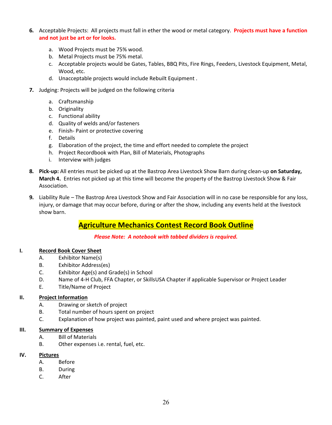- **6.** Acceptable Projects: All projects must fall in ether the wood or metal category. **Projects must have a function and not just be art or for looks.**
	- a. Wood Projects must be 75% wood.
	- b. Metal Projects must be 75% metal.
	- c. Acceptable projects would be Gates, Tables, BBQ Pits, Fire Rings, Feeders, Livestock Equipment, Metal, Wood, etc.
	- d. Unacceptable projects would include Rebuilt Equipment .
- **7.** Judging: Projects will be judged on the following criteria
	- a. Craftsmanship
	- b. Originality
	- c. Functional ability
	- d. Quality of welds and/or fasteners
	- e. Finish- Paint or protective covering
	- f. Details
	- g. Elaboration of the project, the time and effort needed to complete the project
	- h. Project Recordbook with Plan, Bill of Materials, Photographs
	- i. Interview with judges
- **8. Pick-up:** All entries must be picked up at the Bastrop Area Livestock Show Barn during clean-up **on Saturday, March 4.** Entries not picked up at this time will become the property of the Bastrop Livestock Show & Fair Association.
- **9.** Liability Rule The Bastrop Area Livestock Show and Fair Association will in no case be responsible for any loss, injury, or damage that may occur before, during or after the show, including any events held at the livestock show barn.

### **Agriculture Mechanics Contest Record Book Outline**

*Please Note: A notebook with tabbed dividers is required.*

### **I. Record Book Cover Sheet**

- A. Exhibitor Name(s)
- B. Exhibitor Address(es)
- C. Exhibitor Age(s) and Grade(s) in School
- D. Name of 4-H Club, FFA Chapter, or SkillsUSA Chapter if applicable Supervisor or Project Leader
- E. Title/Name of Project

### **II. Project Information**

- A. Drawing or sketch of project
- B. Total number of hours spent on project
- C. Explanation of how project was painted, paint used and where project was painted.

### **III. Summary of Expenses**

- A. Bill of Materials
- B. Other expenses i.e. rental, fuel, etc.

### **IV. Pictures**

- A. Before
- B. During
- C. After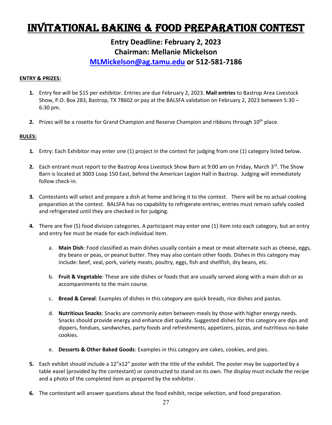## Invitational Baking & Food Preparation Contest

### **Entry Deadline: February 2, 2023 Chairman: Mellanie Mickelson [MLMickelson@ag.tamu.edu](mailto:MLMickelson@ag.tamu.edu) or 512-581-7186**

#### **ENTRY & PRIZES:**

- **1.** Entry fee will be \$15 per exhibitor. Entries are due February 2, 2023. **Mail entries** to Bastrop Area Livestock Show, P.O. Box 283, Bastrop, TX 78602 or pay at the BALSFA validation on February 2, 2023 between 5:30 – 6:30 pm.
- **2.** Prizes will be a rosette for Grand Champion and Reserve Champion and ribbons through 10<sup>th</sup> place.

- **1.** Entry: Each Exhibitor may enter one (1) project in the contest for judging from one (1) category listed below.
- 2. Each entrant must report to the Bastrop Area Livestock Show Barn at 9:00 am on Friday, March 3<sup>rd</sup>. The Show Barn is located at 3003 Loop 150 East, behind the American Legion Hall in Bastrop. Judging will immediately follow check-in.
- **3.** Contestants will select and prepare a dish at home and bring it to the contest. There will be no actual cooking preparation at the contest. BALSFA has no capability to refrigerate entries; entries must remain safely cooled and refrigerated until they are checked in for judging.
- **4.** There are five (5) food division categories. A participant may enter one (1) item into each category, but an entry and entry fee must be made for each individual item.
	- a. **Main Dish**: Food classified as main dishes usually contain a meat or meat alternate such as cheese, eggs, dry beans or peas, or peanut butter. They may also contain other foods. Dishes in this category may include: beef, veal, pork, variety meats, poultry, eggs, fish and shellfish, dry beans, etc.
	- b. **Fruit & Vegetable**: These are side dishes or foods that are usually served along with a main dish or as accompaniments to the main course.
	- c. **Bread & Cereal**: Examples of dishes in this category are quick breads, rice dishes and pastas.
	- d. **Nutritious Snacks**: Snacks are commonly eaten between meals by those with higher energy needs. Snacks should provide energy and enhance diet quality. Suggested dishes for this category are dips and dippers, fondues, sandwiches, party foods and refreshments, appetizers, pizzas, and nutritious no-bake cookies.
	- e. **Desserts & Other Baked Goods**: Examples in this category are cakes, cookies, and pies.
- **5.** Each exhibit should include a 12"x12" poster with the title of the exhibit. The poster may be supported by a table easel (provided by the contestant) or constructed to stand on its own. The display must include the recipe and a photo of the completed item as prepared by the exhibitor.
- **6.** The contestant will answer questions about the food exhibit, recipe selection, and food preparation.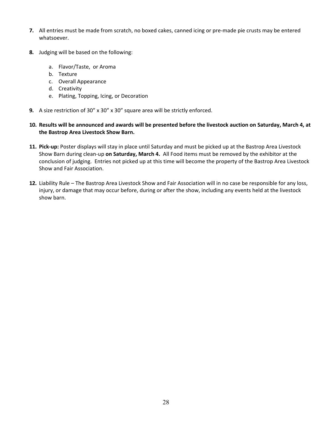- **7.** All entries must be made from scratch, no boxed cakes, canned icing or pre-made pie crusts may be entered whatsoever.
- **8.** Judging will be based on the following:
	- a. Flavor/Taste, or Aroma
	- b. Texture
	- c. Overall Appearance
	- d. Creativity
	- e. Plating, Topping, Icing, or Decoration
- **9.** A size restriction of 30" x 30" x 30" square area will be strictly enforced.
- **10. Results will be announced and awards will be presented before the livestock auction on Saturday, March 4, at the Bastrop Area Livestock Show Barn.**
- **11. Pick-up:** Poster displays will stay in place until Saturday and must be picked up at the Bastrop Area Livestock Show Barn during clean-up **on Saturday, March 4.** All Food items must be removed by the exhibitor at the conclusion of judging. Entries not picked up at this time will become the property of the Bastrop Area Livestock Show and Fair Association.
- **12.** Liability Rule The Bastrop Area Livestock Show and Fair Association will in no case be responsible for any loss, injury, or damage that may occur before, during or after the show, including any events held at the livestock show barn.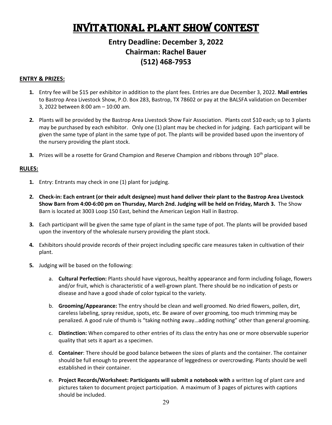# Invitational Plant Show Contest

### **Entry Deadline: December 3, 2022 Chairman: Rachel Bauer (512) 468-7953**

#### **ENTRY & PRIZES:**

- **1.** Entry fee will be \$15 per exhibitor in addition to the plant fees. Entries are due December 3, 2022. **Mail entries** to Bastrop Area Livestock Show, P.O. Box 283, Bastrop, TX 78602 or pay at the BALSFA validation on December 3, 2022 between 8:00 am – 10:00 am.
- **2.** Plants will be provided by the Bastrop Area Livestock Show Fair Association. Plants cost \$10 each; up to 3 plants may be purchased by each exhibitor. Only one (1) plant may be checked in for judging. Each participant will be given the same type of plant in the same type of pot. The plants will be provided based upon the inventory of the nursery providing the plant stock.
- **3.** Prizes will be a rosette for Grand Champion and Reserve Champion and ribbons through 10<sup>th</sup> place.

- **1.** Entry: Entrants may check in one (1) plant for judging.
- **2. Check-in: Each entrant (or their adult designee) must hand deliver their plant to the Bastrop Area Livestock Show Barn from 4:00-6:00 pm on Thursday, March 2nd. Judging will be held on Friday, March 3.** The Show Barn is located at 3003 Loop 150 East, behind the American Legion Hall in Bastrop.
- **3.** Each participant will be given the same type of plant in the same type of pot. The plants will be provided based upon the inventory of the wholesale nursery providing the plant stock.
- **4.** Exhibitors should provide records of their project including specific care measures taken in cultivation of their plant.
- **5.** Judging will be based on the following:
	- a. **Cultural Perfection:** Plants should have vigorous, healthy appearance and form including foliage, flowers and/or fruit, which is characteristic of a well-grown plant. There should be no indication of pests or disease and have a good shade of color typical to the variety.
	- b. **Grooming/Appearance:** The entry should be clean and well groomed. No dried flowers, pollen, dirt, careless labeling, spray residue, spots, etc. Be aware of over grooming, too much trimming may be penalized. A good rule of thumb is "taking nothing away…adding nothing" other than general grooming.
	- c. **Distinction:** When compared to other entries of its class the entry has one or more observable superior quality that sets it apart as a specimen.
	- d. **Container**: There should be good balance between the sizes of plants and the container. The container should be full enough to prevent the appearance of leggedness or overcrowding. Plants should be well established in their container.
	- e. **Project Records/Worksheet: Participants will submit a notebook with** a written log of plant care and pictures taken to document project participation. A maximum of 3 pages of pictures with captions should be included.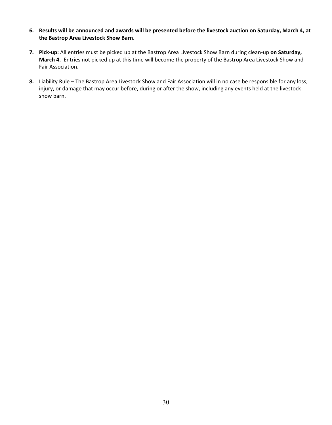- **6. Results will be announced and awards will be presented before the livestock auction on Saturday, March 4, at the Bastrop Area Livestock Show Barn.**
- **7. Pick-up:** All entries must be picked up at the Bastrop Area Livestock Show Barn during clean-up **on Saturday, March 4.** Entries not picked up at this time will become the property of the Bastrop Area Livestock Show and Fair Association.
- **8.** Liability Rule The Bastrop Area Livestock Show and Fair Association will in no case be responsible for any loss, injury, or damage that may occur before, during or after the show, including any events held at the livestock show barn.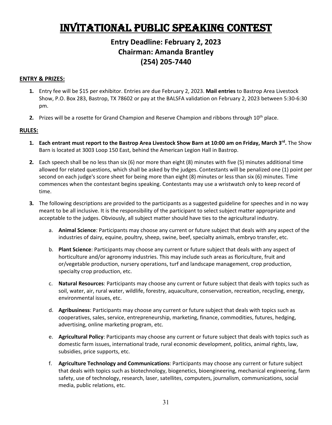# Invitational Public Speaking Contest

### **Entry Deadline: February 2, 2023 Chairman: Amanda Brantley (254) 205-7440**

### **ENTRY & PRIZES:**

- **1.** Entry fee will be \$15 per exhibitor. Entries are due February 2, 2023. **Mail entries** to Bastrop Area Livestock Show, P.O. Box 283, Bastrop, TX 78602 or pay at the BALSFA validation on February 2, 2023 between 5:30-6:30 pm.
- **2.** Prizes will be a rosette for Grand Champion and Reserve Champion and ribbons through 10<sup>th</sup> place.

- **1. Each entrant must report to the Bastrop Area Livestock Show Barn at 10:00 am on Friday, March 3<sup>rd</sup>. The Show** Barn is located at 3003 Loop 150 East, behind the American Legion Hall in Bastrop.
- **2.** Each speech shall be no less than six (6) nor more than eight (8) minutes with five (5) minutes additional time allowed for related questions, which shall be asked by the judges. Contestants will be penalized one (1) point per second on each judge's score sheet for being more than eight (8) minutes or less than six (6) minutes. Time commences when the contestant begins speaking. Contestants may use a wristwatch only to keep record of time.
- **3.** The following descriptions are provided to the participants as a suggested guideline for speeches and in no way meant to be all inclusive. It is the responsibility of the participant to select subject matter appropriate and acceptable to the judges. Obviously, all subject matter should have ties to the agricultural industry.
	- a. **Animal Science**: Participants may choose any current or future subject that deals with any aspect of the industries of dairy, equine, poultry, sheep, swine, beef, specialty animals, embryo transfer, etc.
	- b. **Plant Science**: Participants may choose any current or future subject that deals with any aspect of horticulture and/or agronomy industries. This may include such areas as floriculture, fruit and or/vegetable production, nursery operations, turf and landscape management, crop production, specialty crop production, etc.
	- c. **Natural Resources**: Participants may choose any current or future subject that deals with topics such as soil, water, air, rural water, wildlife, forestry, aquaculture, conservation, recreation, recycling, energy, environmental issues, etc.
	- d. **Agribusiness**: Participants may choose any current or future subject that deals with topics such as cooperatives, sales, service, entrepreneurship, marketing, finance, commodities, futures, hedging, advertising, online marketing program, etc.
	- e. **Agricultural Policy**: Participants may choose any current or future subject that deals with topics such as domestic farm issues, international trade, rural economic development, politics, animal rights, law, subsidies, price supports, etc.
	- f. **Agriculture Technology and Communications**: Participants may choose any current or future subject that deals with topics such as biotechnology, biogenetics, bioengineering, mechanical engineering, farm safety, use of technology, research, laser, satellites, computers, journalism, communications, social media, public relations, etc.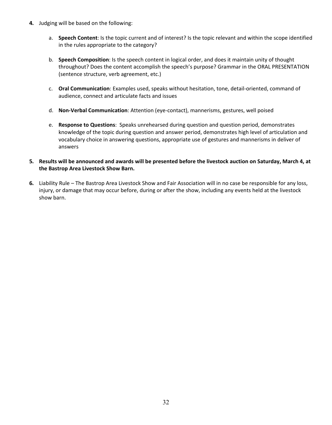- **4.** Judging will be based on the following:
	- a. **Speech Content**: Is the topic current and of interest? Is the topic relevant and within the scope identified in the rules appropriate to the category?
	- b. **Speech Composition**: Is the speech content in logical order, and does it maintain unity of thought throughout? Does the content accomplish the speech's purpose? Grammar in the ORAL PRESENTATION (sentence structure, verb agreement, etc.)
	- c. **Oral Communication**: Examples used, speaks without hesitation, tone, detail-oriented, command of audience, connect and articulate facts and issues
	- d. **Non-Verbal Communication**: Attention (eye-contact), mannerisms, gestures, well poised
	- e. **Response to Questions**: Speaks unrehearsed during question and question period, demonstrates knowledge of the topic during question and answer period, demonstrates high level of articulation and vocabulary choice in answering questions, appropriate use of gestures and mannerisms in deliver of answers
- **5. Results will be announced and awards will be presented before the livestock auction on Saturday, March 4, at the Bastrop Area Livestock Show Barn.**
- **6.** Liability Rule The Bastrop Area Livestock Show and Fair Association will in no case be responsible for any loss, injury, or damage that may occur before, during or after the show, including any events held at the livestock show barn.